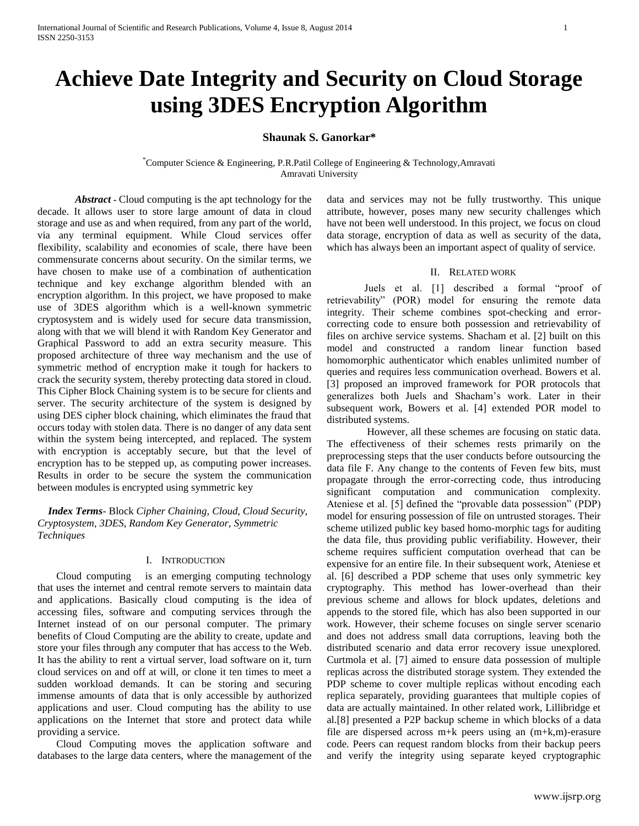# **Achieve Date Integrity and Security on Cloud Storage using 3DES Encryption Algorithm**

# **Shaunak S. Ganorkar\***

\*Computer Science & Engineering, P.R.Patil College of Engineering & Technology,Amravati Amravati University

*Abstract* **-** Cloud computing is the apt technology for the decade. It allows user to store large amount of data in cloud storage and use as and when required, from any part of the world, via any terminal equipment. While Cloud services offer flexibility, scalability and economies of scale, there have been commensurate concerns about security. On the similar terms, we have chosen to make use of a combination of authentication technique and key exchange algorithm blended with an encryption algorithm. In this project, we have proposed to make use of 3DES algorithm which is a well-known symmetric cryptosystem and is widely used for secure data transmission, along with that we will blend it with Random Key Generator and Graphical Password to add an extra security measure. This proposed architecture of three way mechanism and the use of symmetric method of encryption make it tough for hackers to crack the security system, thereby protecting data stored in cloud. This Cipher Block Chaining system is to be secure for clients and server. The security architecture of the system is designed by using DES cipher block chaining, which eliminates the fraud that occurs today with stolen data. There is no danger of any data sent within the system being intercepted, and replaced. The system with encryption is acceptably secure, but that the level of encryption has to be stepped up, as computing power increases. Results in order to be secure the system the communication between modules is encrypted using symmetric key

 *Index Terms*- Block *Cipher Chaining, Cloud, Cloud Security, Cryptosystem, 3DES, Random Key Generator, Symmetric Techniques*

## I. INTRODUCTION

Cloud computing is an emerging computing technology that uses the internet and central remote servers to maintain data and applications. Basically cloud computing is the idea of accessing files, software and computing services through the Internet instead of on our personal computer. The primary benefits of Cloud Computing are the ability to create, update and store your files through any computer that has access to the Web. It has the ability to rent a virtual server, load software on it, turn cloud services on and off at will, or clone it ten times to meet a sudden workload demands. It can be storing and securing immense amounts of data that is only accessible by authorized applications and user. Cloud computing has the ability to use applications on the Internet that store and protect data while providing a service.

Cloud Computing moves the application software and databases to the large data centers, where the management of the data and services may not be fully trustworthy*.* This unique attribute, however, poses many new security challenges which have not been well understood. In this project, we focus on cloud data storage, encryption of data as well as security of the data, which has always been an important aspect of quality of service.

## II. RELATED WORK

Juels et al. [1] described a formal "proof of retrievability" (POR) model for ensuring the remote data integrity. Their scheme combines spot-checking and errorcorrecting code to ensure both possession and retrievability of files on archive service systems. Shacham et al. [2] built on this model and constructed a random linear function based homomorphic authenticator which enables unlimited number of queries and requires less communication overhead. Bowers et al. [3] proposed an improved framework for POR protocols that generalizes both Juels and Shacham's work. Later in their subsequent work, Bowers et al. [4] extended POR model to distributed systems.

However, all these schemes are focusing on static data. The effectiveness of their schemes rests primarily on the preprocessing steps that the user conducts before outsourcing the data file F. Any change to the contents of Feven few bits, must propagate through the error-correcting code, thus introducing significant computation and communication complexity. Ateniese et al. [5] defined the "provable data possession" (PDP) model for ensuring possession of file on untrusted storages. Their scheme utilized public key based homo-morphic tags for auditing the data file, thus providing public verifiability. However, their scheme requires sufficient computation overhead that can be expensive for an entire file. In their subsequent work, Ateniese et al. [6] described a PDP scheme that uses only symmetric key cryptography. This method has lower-overhead than their previous scheme and allows for block updates, deletions and appends to the stored file, which has also been supported in our work. However, their scheme focuses on single server scenario and does not address small data corruptions, leaving both the distributed scenario and data error recovery issue unexplored. Curtmola et al. [7] aimed to ensure data possession of multiple replicas across the distributed storage system. They extended the PDP scheme to cover multiple replicas without encoding each replica separately, providing guarantees that multiple copies of data are actually maintained. In other related work, Lillibridge et al.[8] presented a P2P backup scheme in which blocks of a data file are dispersed across m+k peers using an (m+k,m)-erasure code. Peers can request random blocks from their backup peers and verify the integrity using separate keyed cryptographic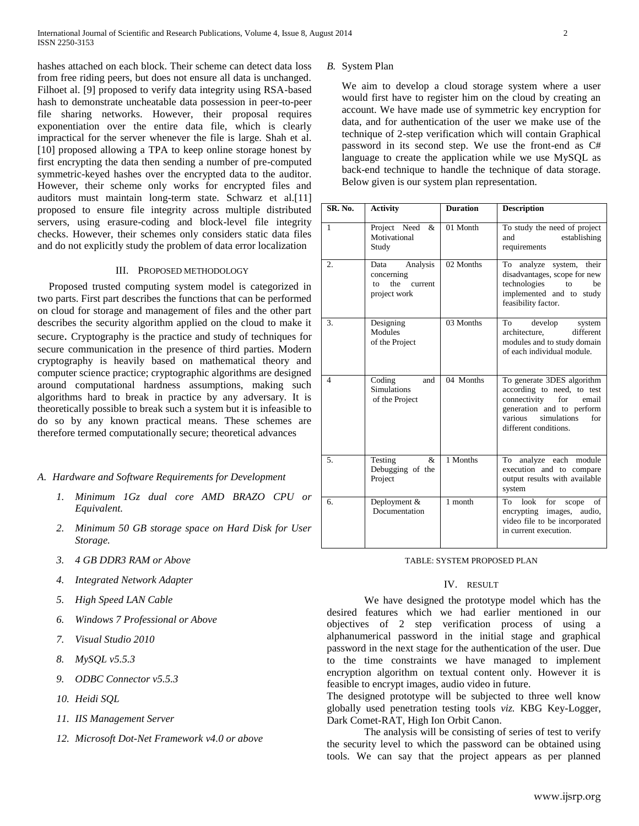hashes attached on each block. Their scheme can detect data loss from free riding peers, but does not ensure all data is unchanged. Filhoet al. [9] proposed to verify data integrity using RSA-based hash to demonstrate uncheatable data possession in peer-to-peer file sharing networks. However, their proposal requires exponentiation over the entire data file, which is clearly impractical for the server whenever the file is large. Shah et al. [10] proposed allowing a TPA to keep online storage honest by first encrypting the data then sending a number of pre-computed symmetric-keyed hashes over the encrypted data to the auditor. However, their scheme only works for encrypted files and auditors must maintain long-term state. Schwarz et al.[11] proposed to ensure file integrity across multiple distributed servers, using erasure-coding and block-level file integrity checks. However, their schemes only considers static data files and do not explicitly study the problem of data error localization

# III. PROPOSED METHODOLOGY

Proposed trusted computing system model is categorized in two parts. First part describes the functions that can be performed on cloud for storage and management of files and the other part describes the security algorithm applied on the cloud to make it secure. Cryptography is the practice and study of techniques for secure communication in the presence of third parties. Modern cryptography is heavily based on mathematical theory and computer science practice; cryptographic algorithms are designed around computational hardness assumptions, making such algorithms hard to break in practice by any adversary. It is theoretically possible to break such a system but it is infeasible to do so by any known practical means. These schemes are therefore termed computationally secure; theoretical advances

# *A. Hardware and Software Requirements for Development*

- *1. Minimum 1Gz dual core AMD BRAZO CPU or Equivalent.*
- *2. Minimum 50 GB storage space on Hard Disk for User Storage.*
- *3. 4 GB DDR3 RAM or Above*
- *4. Integrated Network Adapter*
- *5. High Speed LAN Cable*
- *6. Windows 7 Professional or Above*
- *7. Visual Studio 2010*
- *8. MySQL v5.5.3*
- *9. ODBC Connector v5.5.3*
- *10. Heidi SQL*
- *11. IIS Management Server*
- *12. Microsoft Dot-Net Framework v4.0 or above*

*B.* System Plan

We aim to develop a cloud storage system where a user would first have to register him on the cloud by creating an account. We have made use of symmetric key encryption for data, and for authentication of the user we make use of the technique of 2-step verification which will contain Graphical password in its second step. We use the front-end as C# language to create the application while we use MySQL as back-end technique to handle the technique of data storage. Below given is our system plan representation.

| SR. No.          | <b>Activity</b>                                                        | <b>Duration</b> | <b>Description</b>                                                                                                                                                              |
|------------------|------------------------------------------------------------------------|-----------------|---------------------------------------------------------------------------------------------------------------------------------------------------------------------------------|
| $\mathbf{1}$     | Project Need<br>&<br>Motivational<br>Study                             | 01 Month        | To study the need of project<br>establishing<br>and<br>requirements                                                                                                             |
| $\overline{2}$ . | Analysis<br>Data<br>concerning<br>the<br>to<br>current<br>project work | 02 Months       | analyze system, their<br>To<br>disadvantages, scope for new<br>technologies<br>be<br>to<br>implemented and to study<br>feasibility factor.                                      |
| 3.               | Designing<br>Modules<br>of the Project                                 | 03 Months       | develop<br>To To<br>system<br>different<br>architecture.<br>modules and to study domain<br>of each individual module.                                                           |
| $\overline{4}$   | Coding<br>and<br><b>Simulations</b><br>of the Project                  | 04 Months       | To generate 3DES algorithm<br>according to need, to test<br>connectivity<br>for<br>email<br>generation and to perform<br>various<br>simulations<br>for<br>different conditions. |
| 5 <sub>1</sub>   | Testing<br>&<br>Debugging of the<br>Project                            | 1 Months        | To analyze each module<br>execution and to compare<br>output results with available<br>system                                                                                   |
| 6.               | Deployment &<br>Documentation                                          | 1 month         | look<br>To<br>for<br>of<br>scope<br>encrypting images, audio,<br>video file to be incorporated<br>in current execution.                                                         |

#### TABLE: SYSTEM PROPOSED PLAN

# IV. RESULT

We have designed the prototype model which has the desired features which we had earlier mentioned in our objectives of 2 step verification process of using a alphanumerical password in the initial stage and graphical password in the next stage for the authentication of the user. Due to the time constraints we have managed to implement encryption algorithm on textual content only. However it is feasible to encrypt images, audio video in future.

The designed prototype will be subjected to three well know globally used penetration testing tools *viz.* KBG Key-Logger, Dark Comet-RAT, High Ion Orbit Canon.

The analysis will be consisting of series of test to verify the security level to which the password can be obtained using tools. We can say that the project appears as per planned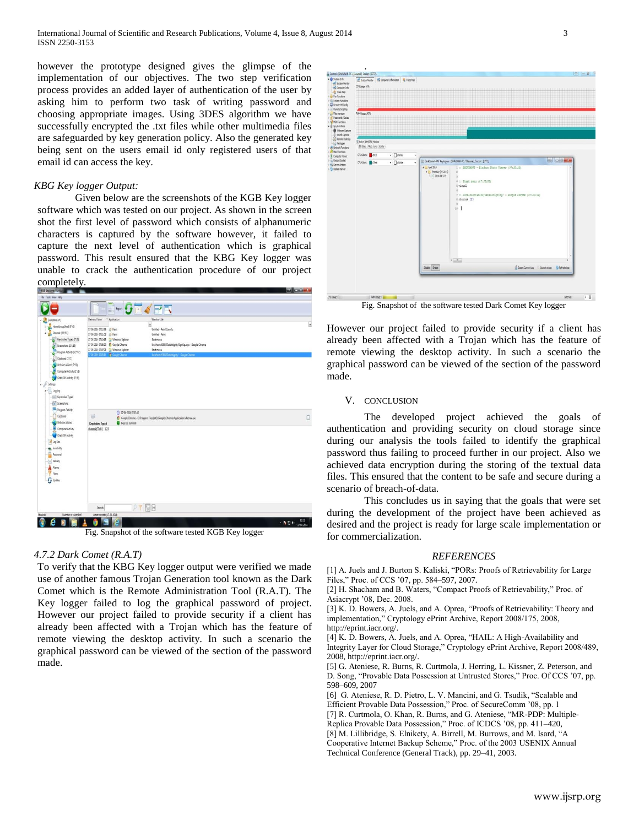however the prototype designed gives the glimpse of the implementation of our objectives. The two step verification process provides an added layer of authentication of the user by asking him to perform two task of writing password and choosing appropriate images. Using 3DES algorithm we have successfully encrypted the .txt files while other multimedia files are safeguarded by key generation policy. Also the generated key being sent on the users email id only registered users of that email id can access the key.

#### *KBG Key logger Output:*

Given below are the screenshots of the KGB Key logger software which was tested on our project. As shown in the screen shot the first level of password which consists of alphanumeric characters is captured by the software however, it failed to capture the next level of authentication which is graphical password. This result ensured that the KBG Key logger was unable to crack the authentication procedure of our project completely.



Fig. Snapshot of the software tested KGB Key logger

# *4.7.2 Dark Comet (R.A.T)*

To verify that the KBG Key logger output were verified we made use of another famous Trojan Generation tool known as the Dark Comet which is the Remote Administration Tool (R.A.T). The Key logger failed to log the graphical password of project. However our project failed to provide security if a client has already been affected with a Trojan which has the feature of remote viewing the desktop activity. In such a scenario the graphical password can be viewed of the section of the password made.

| All System Ronitor High Computer Information  Trace Kep |                                                                                 | $99 = 92$ |
|---------------------------------------------------------|---------------------------------------------------------------------------------|-----------|
| OPULlage 17%                                            |                                                                                 |           |
|                                                         |                                                                                 |           |
|                                                         |                                                                                 |           |
|                                                         |                                                                                 |           |
|                                                         |                                                                                 |           |
| RANUsage : 45%                                          |                                                                                 |           |
|                                                         |                                                                                 |           |
|                                                         |                                                                                 |           |
|                                                         |                                                                                 |           |
| Actua RANCRUMontor                                      |                                                                                 |           |
| D Bas Filed Line Scatter                                |                                                                                 |           |
| $\bullet$ $\Box$ dike<br>OUClor: Bad<br>٠               |                                                                                 |           |
| $\bullet$ $\Box$ dikte<br>CPUCdor: del<br>٠             | DarkComet-RAT Keylogger : [SHAUNAK-PC / Shaunak], Socket : [1772].              | a pas     |
|                                                         | $4 - 4$ pri 2014<br>1 :: ANOVIMOUS - Windows Photo Viewer (07:20:22)            |           |
|                                                         | 4 Thursday (14-2014)<br>ä                                                       |           |
|                                                         | 20140417-5<br>4 :: Start menu /07:20:53)                                        |           |
|                                                         | \$ visual                                                                       |           |
|                                                         |                                                                                 |           |
|                                                         | 7 :: localhost:49360/DataIntigrity/ - Google Chrone (07:21:12)<br>8 shaunak 123 |           |
|                                                         | ٠                                                                               |           |
|                                                         | 10                                                                              |           |
|                                                         |                                                                                 |           |
|                                                         |                                                                                 |           |
|                                                         |                                                                                 |           |
|                                                         |                                                                                 |           |
|                                                         |                                                                                 |           |
|                                                         |                                                                                 |           |
|                                                         |                                                                                 |           |

Fig. Snapshot of the software tested Dark Comet Key logger

However our project failed to provide security if a client has already been affected with a Trojan which has the feature of remote viewing the desktop activity. In such a scenario the graphical password can be viewed of the section of the password made.

#### V. CONCLUSION

The developed project achieved the goals of authentication and providing security on cloud storage since during our analysis the tools failed to identify the graphical password thus failing to proceed further in our project. Also we achieved data encryption during the storing of the textual data files. This ensured that the content to be safe and secure during a scenario of breach-of-data.

This concludes us in saying that the goals that were set during the development of the project have been achieved as desired and the project is ready for large scale implementation or for commercialization.

### *REFERENCES*

[1] A. Juels and J. Burton S. Kaliski, "PORs: Proofs of Retrievability for Large Files," Proc. of CCS '07, pp. 584–597, 2007.

[2] H. Shacham and B. Waters, "Compact Proofs of Retrievability," Proc. of Asiacrypt '08, Dec. 2008.

[3] K. D. Bowers, A. Juels, and A. Oprea, "Proofs of Retrievability: Theory and implementation," Cryptology ePrint Archive, Report 2008/175, 2008, http://eprint.iacr.org/.

[4] K. D. Bowers, A. Juels, and A. Oprea, "HAIL: A High-Availability and Integrity Layer for Cloud Storage," Cryptology ePrint Archive, Report 2008/489, 2008, http://eprint.iacr.org/.

[5] G. Ateniese, R. Burns, R. Curtmola, J. Herring, L. Kissner, Z. Peterson, and D. Song, "Provable Data Possession at Untrusted Stores," Proc. Of CCS '07, pp. 598–609, 2007

[6] G. Ateniese, R. D. Pietro, L. V. Mancini, and G. Tsudik, "Scalable and Efficient Provable Data Possession," Proc. of SecureComm '08, pp. 1

[7] R. Curtmola, O. Khan, R. Burns, and G. Ateniese, "MR-PDP: Multiple-Replica Provable Data Possession," Proc. of ICDCS '08, pp. 411–420,

[8] M. Lillibridge, S. Elnikety, A. Birrell, M. Burrows, and M. Isard, "A

Cooperative Internet Backup Scheme," Proc. of the 2003 USENIX Annual Technical Conference (General Track), pp. 29–41, 2003.